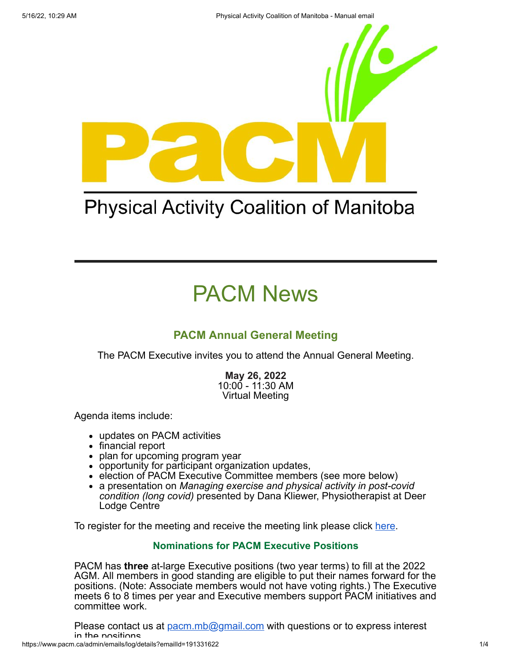

## **Physical Activity Coalition of Manitoba**

# PACM News

### **PACM Annual General Meeting**

The PACM Executive invites you to attend the Annual General Meeting.

**May 26, 2022** 10:00 - 11:30 AM Virtual Meeting

Agenda items include:

- updates on PACM activities
- financial report
- plan for upcoming program year
- opportunity for participant organization updates,
- election of PACM Executive Committee members (see more below)
- a presentation on *Managing exercise and physical activity in post-covid condition (long covid)* presented by Dana Kliewer, Physiotherapist at Deer Lodge Centre

To register for the meeting and receive the meeting link please click [here.](https://pacm.ca/Events)

#### **Nominations for PACM Executive Positions**

PACM has **three** at-large Executive positions (two year terms) to fill at the 2022 AGM. All members in good standing are eligible to put their names forward for the positions. (Note: Associate members would not have voting rights.) The Executive meets 6 to 8 times per year and Executive members support PACM initiatives and committee work.

Please contact us at **[pacm.mb@gmail.com](mailto:pacm.mb@gmail.com)** with questions or to express interest in the positions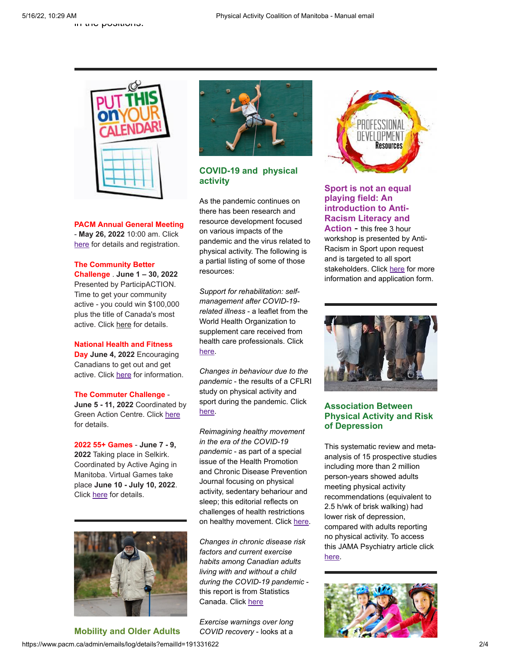

**PACM Annual General Meeting** - **May 26, 2022** 10:00 am. Click [here](https://www.pacm.ca/Events) for details and registration.

**The Community Better Challenge** . **June 1 – 30, 2022** Presented by ParticipACTION. Time to get your community active - you could win \$100,000 plus the title of Canada's most active. Click [here](https://www.participaction.com/en-ca/programs/community-challenge?utm_term=ParticipACTION%20Community%20Challenge%20Toolkits%20Download&utm_campaign=CBCGrantAnnouncement_Sector_Dec14_EN&utm_content=email&utm_source=Sector&utm_medium=Email&cm_mmc=Act-On%20Software-_-email-_-Your%20Community%20Better%20Challenge%20digital%20toolkit%20is%20here!-_-ParticipACTION%20Community%20Challenge%20Toolkits%20Download#ToolkitsEN#ToolkitsEN) for details.

#### **National Health and Fitness Day June 4, 2022** Encouraging Canadians to get out and get active. Click [here](https://www.nhfdcan.ca/) for information.

**The Commuter Challenge** -

**June 5 - 11, 2022** Coordinated by Green Action Centre. Click [here](https://greenactioncentre.ca/commuterchallenge/) for details.

**2022 55+ Games** - **June 7 - 9, 2022** Taking place in Selkirk. Coordinated by Active Aging in Manitoba. Virtual Games take place **June 10 - July 10, 2022**. Click [here](https://activeagingmb.ca/55games/about-the-games/) for details.



https://www.pacm.ca/admin/emails/log/details?emailId=191331622 2014 **Mobility and Older Adults**



#### **COVID-19 and physical activity**

As the pandemic continues on there has been research and resource development focused on various impacts of the pandemic and the virus related to physical activity. The following is a partial listing of some of those resources:

*Support for rehabilitation: selfmanagement after COVID-19 related illness* - a leaflet from the World Health Organization to supplement care received from health care professionals. Click [here](https://www.euro.who.int/en/health-topics/Life-stages/disability-and-rehabilitation/publications/support-for-rehabilitation-self-management-after-covid-19-related-illness,-2nd-ed).

*Changes in behaviour due to the pandemic* - the results of a CFLRI study on physical activity and sport during the pandemic. Click [here](https://cflri.ca/changes-behaviour-due-pandemic).

*Reimagining healthy movement in the era of the COVID-19 pandemic* - as part of a special issue of the Health Promotion and Chronic Disease Prevention Journal focusing on physical activity, sedentary behariour and sleep; this editorial reflects on challenges of health restrictions on healthy movement. Click [here](https://www.canada.ca/en/public-health/services/reports-publications/health-promotion-chronic-disease-prevention-canada-research-policy-practice/vol-42-no-4-2022/reimagining-health-movement-covid-19-pandemic.html).

*Changes in chronic disease risk factors and current exercise habits among Canadian adults living with and without a child during the COVID-19 pandemic* this report is from Statistics Canada. Click [here](https://www150.statcan.gc.ca/n1/en/catalogue/82-003-X202200400001)

*Exercise warnings over long COVID recovery* - looks at a



#### **Sport is not an equal playing field: An introduction to Anti-Racism Literacy and Action** - this free 3 hour

workshop is presented by Anti-Racism in Sport upon request and is targeted to all sport stakeholders. Click [here](https://antiracisminsport.ca/training/) for more information and application form.



#### **Association Between Physical Activity and Risk of Depression**

This systematic review and metaanalysis of 15 prospective studies including more than 2 million person-years showed adults meeting physical activity recommendations (equivalent to 2.5 h/wk of brisk walking) had lower risk of depression, compared with adults reporting no physical activity. To access this JAMA Psychiatry article click [here](https://jamanetwork.com/journals/jamapsychiatry/fullarticle/2790780).

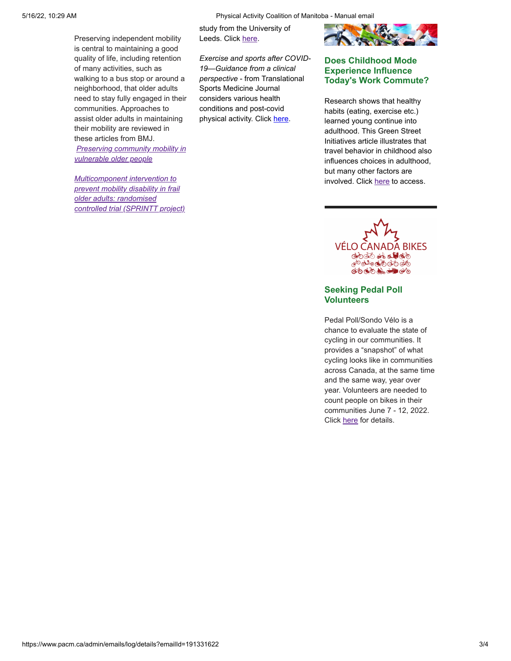Preserving independent mobility is central to maintaining a good quality of life, including retention of many activities, such as walking to a bus stop or around a neighborhood, that older adults need to stay fully engaged in their communities. Approaches to assist older adults in maintaining their mobility are reviewed in these articles from BMJ.

*[Preserving community mobility in](https://www.bmj.com/content/377/bmj.o1084)*

*Multicomponent intervention to prevent mobility disability in frail older adults: randomised*

*[controlled trial \(SPRINTT project\)](https://www.bmj.com/content/377/bmj-2021-068788)*

*vulnerable older people*

5/16/22, 10:29 AM Physical Activity Coalition of Manitoba - Manual email

study from the University of Leeds. Click [here.](https://www.leeds.ac.uk/news-health/news/article/5071/exercise-warnings-over-long-covid-recovery)

*Exercise and sports after COVID-19—Guidance from a clinical perspective* - from Translational Sports Medicine Journal considers various health conditions and post-covid physical activity. Click [here.](https://www.pacm.ca/resources/Documents/Translational%20Sports%20Med%20-%202021%20-%20Halle%20-%20Exercise%20and%20sports%20after%20COVID_19%20Guidance%20from%20a%20clinical%20perspective.pdf)



#### **Does Childhood Mode Experience Influence Today's Work Commute?**

Research shows that healthy habits (eating, exercise etc.) learned young continue into adulthood. This Green Street Initiatives article illustrates that travel behavior in childhood also influences choices in adulthood, but many other factors are involved. Click [here](https://www.gogreenstreets.org/post/does-childhood-mode-experience-influence-today-s-work-commute) to access.

VÉLO CANADA BIKES of to the one of the PO de cio do do 

#### **Seeking Pedal Poll Volunteers**

Pedal Poll/Sondo Vélo is a chance to evaluate the state of cycling in our communities. It provides a "snapshot" of what cycling looks like in communities across Canada, at the same time and the same way, year over year. Volunteers are needed to count people on bikes in their communities June 7 - 12, 2022. Click [here](https://www.velocanadabikes.org/pedalpoll/) for details.